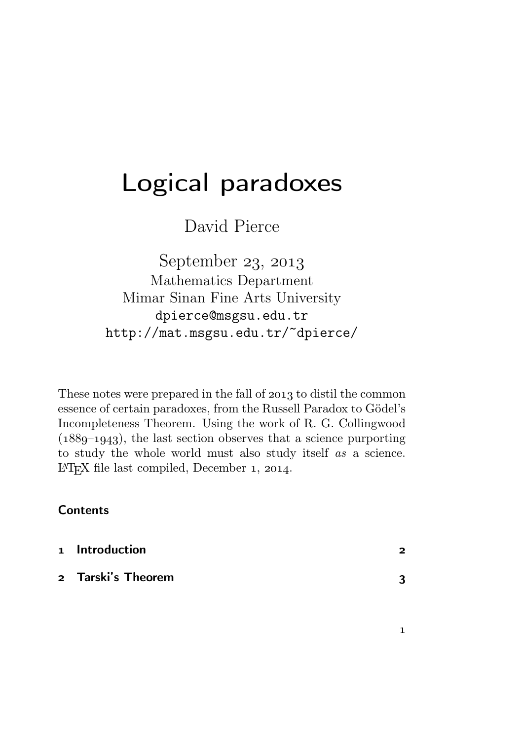# Logical paradoxes

David Pierce

September 23, 2013 Mathematics Department Mimar Sinan Fine Arts University dpierce@msgsu.edu.tr http://mat.msgsu.edu.tr/~dpierce/

These notes were prepared in the fall of 2013 to distil the common essence of certain paradoxes, from the Russell Paradox to Gödel's Incompleteness Theorem. Using the work of R. G. Collingwood  $(1889-1943)$ , the last section observes that a science purporting to study the whole world must also study itself as a science. LAT<sub>E</sub>X file last compiled, December  $1, 2014$ .

# **Contents**

| 1 Introduction     | っ |
|--------------------|---|
| 2 Tarski's Theorem | 2 |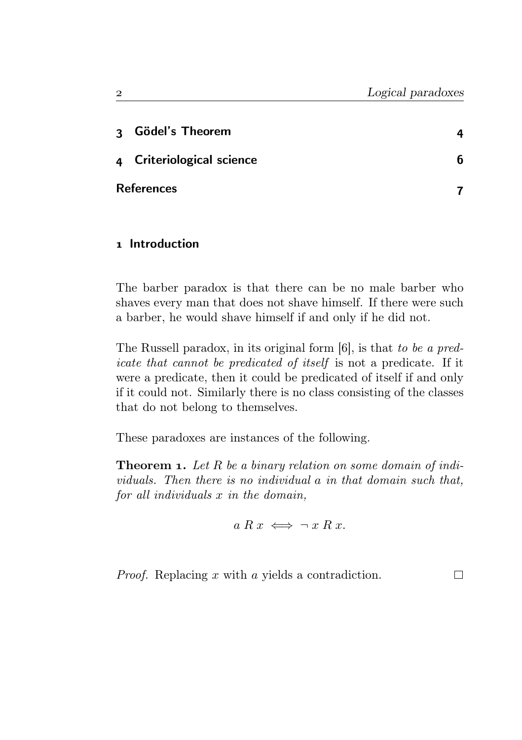П

| 3 Gödel's Theorem         |   |
|---------------------------|---|
| 4 Criteriological science | հ |
| <b>References</b>         |   |

# 1 Introduction

The barber paradox is that there can be no male barber who shaves every man that does not shave himself. If there were such a barber, he would shave himself if and only if he did not.

The Russell paradox, in its original form  $[6]$ , is that to be a predicate that cannot be predicated of itself is not a predicate. If it were a predicate, then it could be predicated of itself if and only if it could not. Similarly there is no class consisting of the classes that do not belong to themselves.

These paradoxes are instances of the following.

**Theorem 1.** Let R be a binary relation on some domain of individuals. Then there is no individual a in that domain such that, for all individuals x in the domain,

$$
a R x \iff \neg x R x.
$$

Proof. Replacing x with a yields a contradiction.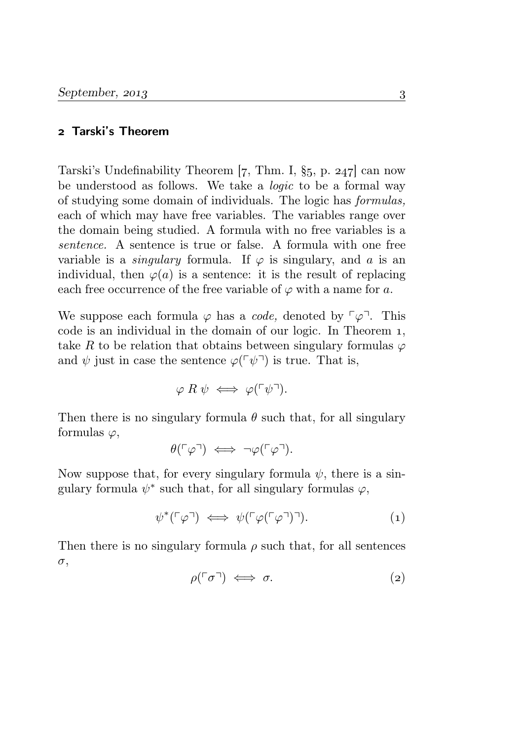#### Tarski's Theorem

Tarski's Undefinability Theorem  $[7, Thm. I, §5, p. 247]$  can now be understood as follows. We take a logic to be a formal way of studying some domain of individuals. The logic has formulas, each of which may have free variables. The variables range over the domain being studied. A formula with no free variables is a sentence. A sentence is true or false. A formula with one free variable is a *singulary* formula. If  $\varphi$  is singulary, and a is an individual, then  $\varphi(a)$  is a sentence: it is the result of replacing each free occurrence of the free variable of  $\varphi$  with a name for a.

We suppose each formula  $\varphi$  has a *code*, denoted by  $\lceil \varphi \rceil$ . This code is an individual in the domain of our logic. In Theorem 1, take R to be relation that obtains between singulary formulas  $\varphi$ and  $\psi$  just in case the sentence  $\varphi(\ulcorner \psi \urcorner)$  is true. That is,

$$
\varphi \mathrel{R} \psi \iff \varphi(\ulcorner \psi \urcorner).
$$

Then there is no singulary formula  $\theta$  such that, for all singulary formulas  $\varphi$ ,

$$
\theta(\ulcorner\varphi\urcorner) \iff \neg\varphi(\ulcorner\varphi\urcorner).
$$

Now suppose that, for every singulary formula  $\psi$ , there is a singulary formula  $\psi^*$  such that, for all singulary formulas  $\varphi$ ,

$$
\psi^*(\ulcorner \varphi \urcorner) \iff \psi(\ulcorner \varphi(\ulcorner \varphi \urcorner) \urcorner). \tag{1}
$$

Then there is no singulary formula  $\rho$  such that, for all sentences σ,

$$
\rho(\ulcorner \sigma \urcorner) \iff \sigma. \tag{2}
$$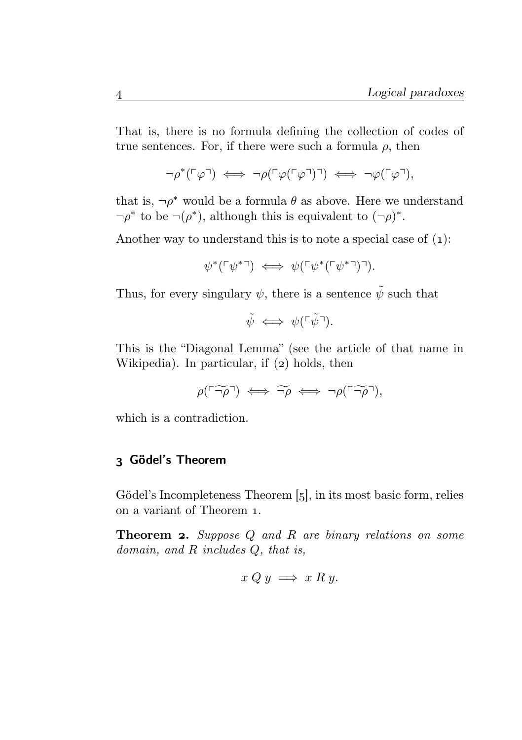That is, there is no formula defining the collection of codes of true sentences. For, if there were such a formula  $\rho$ , then

$$
\neg \rho^*(\ulcorner \varphi \urcorner) \iff \neg \rho(\ulcorner \varphi(\ulcorner \varphi \urcorner)) \iff \neg \varphi(\ulcorner \varphi \urcorner),
$$

that is,  $\neg \rho^*$  would be a formula  $\theta$  as above. Here we understand  $\neg \rho^*$  to be  $\neg (\rho^*)$ , although this is equivalent to  $(\neg \rho)^*$ .

Another way to understand this is to note a special case of  $(1)$ :

$$
\psi^*(\ulcorner \psi^* \urcorner) \iff \psi(\ulcorner \psi^*(\ulcorner \psi^* \urcorner) \urcorner).
$$

Thus, for every singulary  $\psi$ , there is a sentence  $\tilde{\psi}$  such that

$$
\tilde{\psi} \iff \psi(\ulcorner \tilde{\psi}\urcorner).
$$

This is the "Diagonal Lemma" (see the article of that name in Wikipedia). In particular, if  $(z)$  holds, then

$$
\rho(\ulcorner\widetilde{\lnot\rho}\urcorner)\iff\widetilde{\lnot\rho}\iff\lnot\rho(\ulcorner\widetilde{\lnot\rho}\urcorner),
$$

which is a contradiction.

## Gödel's Theorem

Gödel's Incompleteness Theorem  $\left[ 5 \right]$ , in its most basic form, relies on a variant of Theorem .

**Theorem 2.** Suppose  $Q$  and  $R$  are binary relations on some domain, and R includes Q, that is,

$$
x Q y \implies x R y.
$$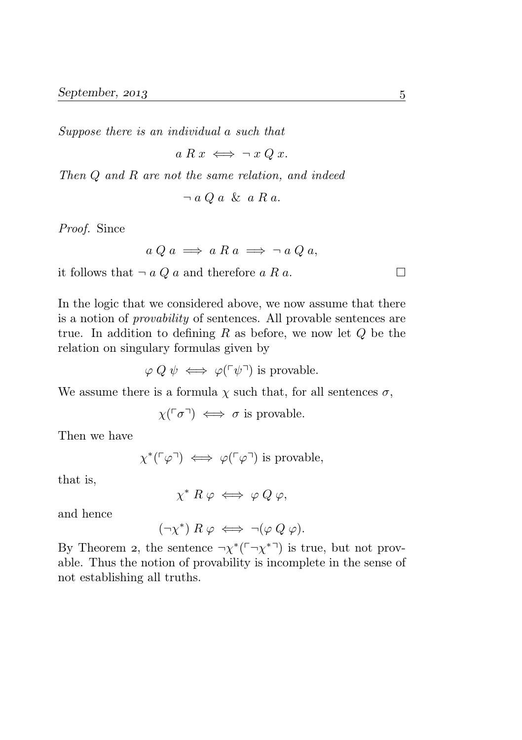Suppose there is an individual a such that

$$
a R x \iff \neg x Q x.
$$

Then Q and R are not the same relation, and indeed

$$
\neg a Q a \& a R a.
$$

Proof. Since

$$
a Q a \implies a R a \implies \neg a Q a,
$$

it follows that  $\neg a Q a$  and therefore a R a.

In the logic that we considered above, we now assume that there is a notion of provability of sentences. All provable sentences are true. In addition to defining R as before, we now let  $Q$  be the relation on singulary formulas given by

$$
\varphi Q \psi \iff \varphi(\ulcorner \psi \urcorner)
$$
 is provable.

We assume there is a formula  $\chi$  such that, for all sentences  $\sigma$ ,

$$
\chi(\ulcorner \sigma \urcorner) \iff \sigma \text{ is provable.}
$$

Then we have

$$
\chi^*(\ulcorner\varphi\urcorner)\iff \varphi(\ulcorner\varphi\urcorner) \text{ is provable},
$$

that is,

$$
\chi^* R \varphi \iff \varphi Q \varphi,
$$

and hence

 $(\neg \chi^*)$   $R \varphi \iff \neg (\varphi \ Q \varphi).$ 

By Theorem 2, the sentence  $\neg \chi^*(\neg \chi^{*} \neg)$  is true, but not provable. Thus the notion of provability is incomplete in the sense of not establishing all truths.

 $\Box$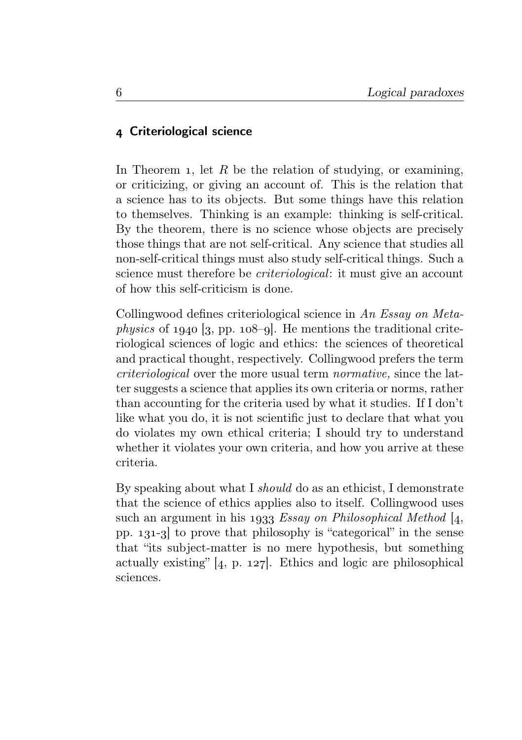# Criteriological science

In Theorem 1, let R be the relation of studying, or examining, or criticizing, or giving an account of. This is the relation that a science has to its objects. But some things have this relation to themselves. Thinking is an example: thinking is self-critical. By the theorem, there is no science whose objects are precisely those things that are not self-critical. Any science that studies all non-self-critical things must also study self-critical things. Such a science must therefore be criteriological: it must give an account of how this self-criticism is done.

Collingwood defines criteriological science in An Essay on Meta*physics* of  $1940$  [3, pp.  $108$ -9]. He mentions the traditional criteriological sciences of logic and ethics: the sciences of theoretical and practical thought, respectively. Collingwood prefers the term criteriological over the more usual term normative, since the latter suggests a science that applies its own criteria or norms, rather than accounting for the criteria used by what it studies. If I don't like what you do, it is not scientific just to declare that what you do violates my own ethical criteria; I should try to understand whether it violates your own criteria, and how you arrive at these criteria.

By speaking about what I should do as an ethicist, I demonstrate that the science of ethics applies also to itself. Collingwood uses such an argument in his 1933 Essay on Philosophical Method  $[4,$ pp.  $131-3$  to prove that philosophy is "categorical" in the sense that "its subject-matter is no mere hypothesis, but something actually existing"  $[4, p. 127]$ . Ethics and logic are philosophical sciences.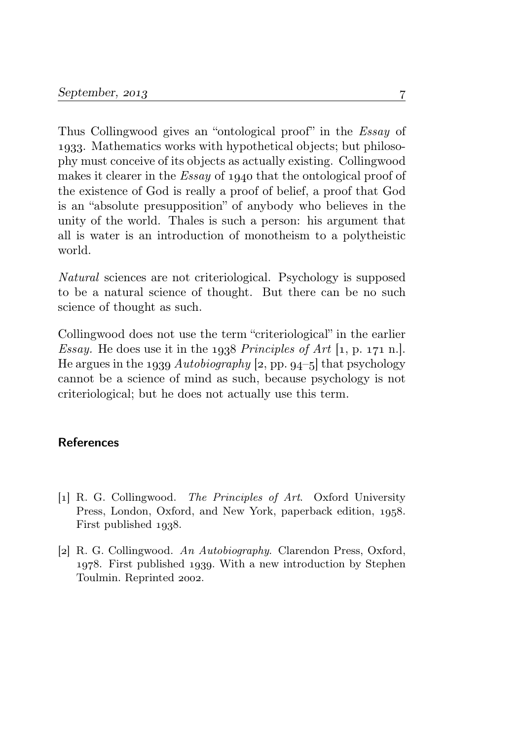Thus Collingwood gives an "ontological proof" in the Essay of . Mathematics works with hypothetical objects; but philosophy must conceive of its objects as actually existing. Collingwood makes it clearer in the *Essay* of 1940 that the ontological proof of the existence of God is really a proof of belief, a proof that God is an "absolute presupposition" of anybody who believes in the unity of the world. Thales is such a person: his argument that all is water is an introduction of monotheism to a polytheistic world.

Natural sciences are not criteriological. Psychology is supposed to be a natural science of thought. But there can be no such science of thought as such.

Collingwood does not use the term "criteriological" in the earlier Essay. He does use it in the  $1938$  Principles of Art  $[1, p. 171 n.]$ . He argues in the 1939 Autobiography [2, pp. 94-5] that psychology cannot be a science of mind as such, because psychology is not criteriological; but he does not actually use this term.

## References

- [1] R. G. Collingwood. The Principles of Art. Oxford University Press, London, Oxford, and New York, paperback edition, 1958. First published 1938.
- [2] R. G. Collingwood. An Autobiography. Clarendon Press, Oxford, 1978. First published 1939. With a new introduction by Stephen Toulmin. Reprinted 2002.